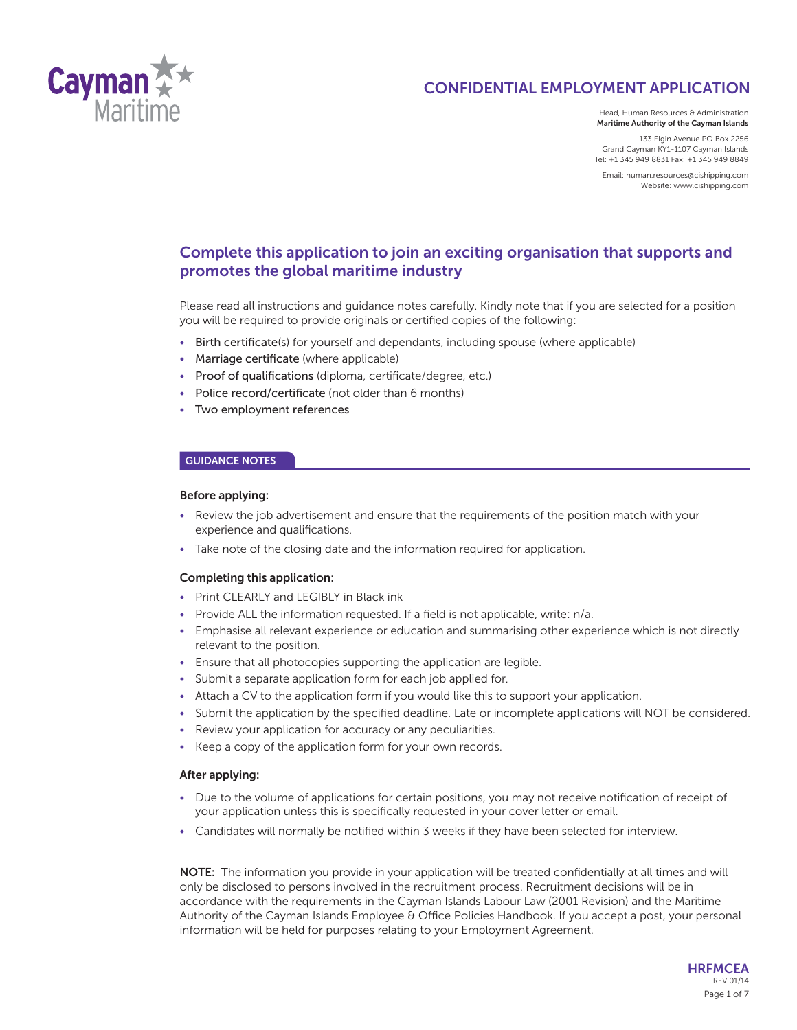

Head, Human Resources & Administration **Maritime Authority of the Cayman Islands**

133 Elgin Avenue PO Box 2256 Grand Cayman KY1-1107 Cayman Islands Tel: +1 345 949 8831 Fax: +1 345 949 8849

Email: human.resources@cishipping.com Website: www.cishipping.com

# **Complete this application to join an exciting organisation that supports and promotes the global maritime industry**

Please read all instructions and guidance notes carefully. Kindly note that if you are selected for a position you will be required to provide originals or certified copies of the following:

- Birth certificate(s) for yourself and dependants, including spouse (where applicable)
- Marriage certificate (where applicable)
- Proof of qualifications (diploma, certificate/degree, etc.)
- Police record/certificate (not older than 6 months)
- Two employment references

# **GUIDANCE NOTES**

## **Before applying:**

- Review the job advertisement and ensure that the requirements of the position match with your experience and qualifications.
- Take note of the closing date and the information required for application.

### **Completing this application:**

- Print CLEARLY and LEGIBLY in Black ink
- Provide ALL the information requested. If a field is not applicable, write: n/a.
- Emphasise all relevant experience or education and summarising other experience which is not directly relevant to the position.
- Ensure that all photocopies supporting the application are legible.
- Submit a separate application form for each job applied for.
- Attach a CV to the application form if you would like this to support your application.
- Submit the application by the specified deadline. Late or incomplete applications will NOT be considered.
- Review your application for accuracy or any peculiarities.
- Keep a copy of the application form for your own records.

### **After applying:**

- Due to the volume of applications for certain positions, you may not receive notification of receipt of your application unless this is specifically requested in your cover letter or email.
- Candidates will normally be notified within 3 weeks if they have been selected for interview.

**NOTE:** The information you provide in your application will be treated confidentially at all times and will only be disclosed to persons involved in the recruitment process. Recruitment decisions will be in accordance with the requirements in the Cayman Islands Labour Law (2001 Revision) and the Maritime Authority of the Cayman Islands Employee & Office Policies Handbook. If you accept a post, your personal information will be held for purposes relating to your Employment Agreement.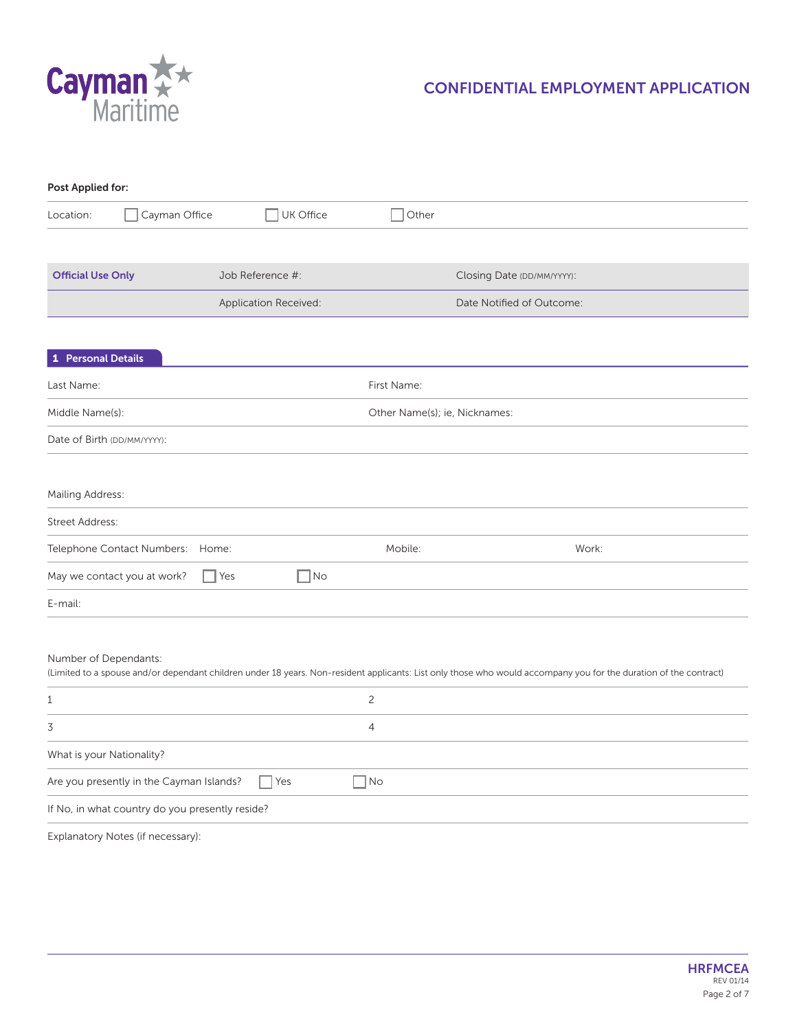

| Post Applied for:         |                                                 |                       |                  |                               |                                                                                                                                                                   |
|---------------------------|-------------------------------------------------|-----------------------|------------------|-------------------------------|-------------------------------------------------------------------------------------------------------------------------------------------------------------------|
| Location:                 | Cayman Office                                   |                       | $\Box$ UK Office | $\Box$ Other                  |                                                                                                                                                                   |
|                           |                                                 |                       |                  |                               |                                                                                                                                                                   |
| <b>Official Use Only</b>  |                                                 | Job Reference #:      |                  |                               | Closing Date (DD/MM/YYYY):                                                                                                                                        |
|                           |                                                 | Application Received: |                  |                               | Date Notified of Outcome:                                                                                                                                         |
|                           |                                                 |                       |                  |                               |                                                                                                                                                                   |
| 1 Personal Details        |                                                 |                       |                  |                               |                                                                                                                                                                   |
| Last Name:                |                                                 |                       |                  | First Name:                   |                                                                                                                                                                   |
| Middle Name(s):           |                                                 |                       |                  | Other Name(s); ie, Nicknames: |                                                                                                                                                                   |
|                           | Date of Birth (DD/MM/YYYY):                     |                       |                  |                               |                                                                                                                                                                   |
|                           |                                                 |                       |                  |                               |                                                                                                                                                                   |
| Mailing Address:          |                                                 |                       |                  |                               |                                                                                                                                                                   |
| <b>Street Address:</b>    |                                                 |                       |                  |                               |                                                                                                                                                                   |
|                           | Telephone Contact Numbers:                      | Home:                 |                  | Mobile:                       | Work:                                                                                                                                                             |
|                           | May we contact you at work?                     | $\bigcap$ Yes         | $\Box$ No        |                               |                                                                                                                                                                   |
| E-mail:                   |                                                 |                       |                  |                               |                                                                                                                                                                   |
|                           |                                                 |                       |                  |                               |                                                                                                                                                                   |
| Number of Dependants:     |                                                 |                       |                  |                               |                                                                                                                                                                   |
|                           |                                                 |                       |                  |                               | (Limited to a spouse and/or dependant children under 18 years. Non-resident applicants: List only those who would accompany you for the duration of the contract) |
| 1                         |                                                 |                       |                  | $\overline{c}$                |                                                                                                                                                                   |
| 3                         |                                                 |                       |                  | 4                             |                                                                                                                                                                   |
| What is your Nationality? |                                                 |                       |                  |                               |                                                                                                                                                                   |
|                           | Are you presently in the Cayman Islands?        | Yes                   |                  | $\Box$ No                     |                                                                                                                                                                   |
|                           | If No, in what country do you presently reside? |                       |                  |                               |                                                                                                                                                                   |
|                           | Explanatory Notes (if necessary):               |                       |                  |                               |                                                                                                                                                                   |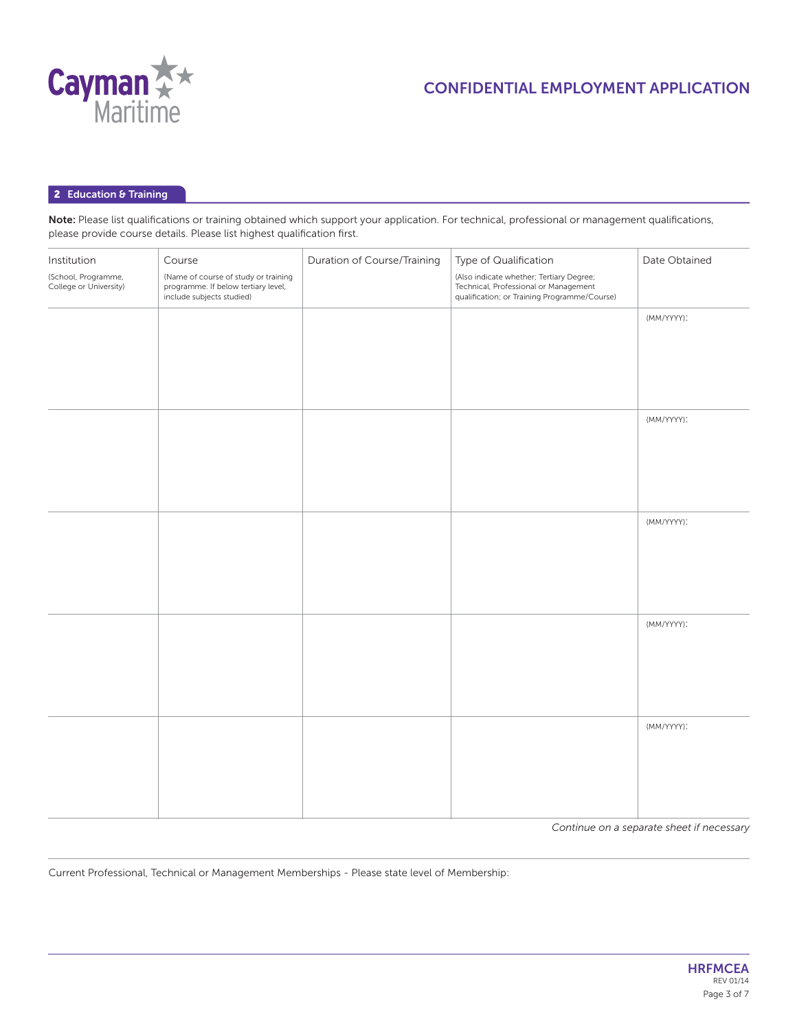

### **2 Education & Training**

Note: Please list qualifications or training obtained which support your application. For technical, professional or management qualifications, please provide course details. Please list highest qualification first.

| Institution                                   | Course                                                                                                   | Duration of Course/Training | Type of Qualification                                                                                                             | Date Obtained |
|-----------------------------------------------|----------------------------------------------------------------------------------------------------------|-----------------------------|-----------------------------------------------------------------------------------------------------------------------------------|---------------|
| (School, Programme,<br>College or University) | (Name of course of study or training<br>programme. If below tertiary level,<br>include subjects studied) |                             | (Also indicate whether; Tertiary Degree;<br>Technical, Professional or Management<br>qualification; or Training Programme/Course) |               |
|                                               |                                                                                                          |                             |                                                                                                                                   | (MM/YYYY):    |
|                                               |                                                                                                          |                             |                                                                                                                                   |               |
|                                               |                                                                                                          |                             |                                                                                                                                   |               |
|                                               |                                                                                                          |                             |                                                                                                                                   |               |
|                                               |                                                                                                          |                             |                                                                                                                                   | (MM/YYYY):    |
|                                               |                                                                                                          |                             |                                                                                                                                   |               |
|                                               |                                                                                                          |                             |                                                                                                                                   |               |
|                                               |                                                                                                          |                             |                                                                                                                                   | (MM/YYYY):    |
|                                               |                                                                                                          |                             |                                                                                                                                   |               |
|                                               |                                                                                                          |                             |                                                                                                                                   |               |
|                                               |                                                                                                          |                             |                                                                                                                                   |               |
|                                               |                                                                                                          |                             |                                                                                                                                   | (MM/YYYY):    |
|                                               |                                                                                                          |                             |                                                                                                                                   |               |
|                                               |                                                                                                          |                             |                                                                                                                                   |               |
|                                               |                                                                                                          |                             |                                                                                                                                   |               |
|                                               |                                                                                                          |                             |                                                                                                                                   | (MM/YYYY):    |
|                                               |                                                                                                          |                             |                                                                                                                                   |               |
|                                               |                                                                                                          |                             |                                                                                                                                   |               |
|                                               |                                                                                                          |                             |                                                                                                                                   |               |

*Continue on a separate sheet if necessary*

Current Professional, Technical or Management Memberships - Please state level of Membership: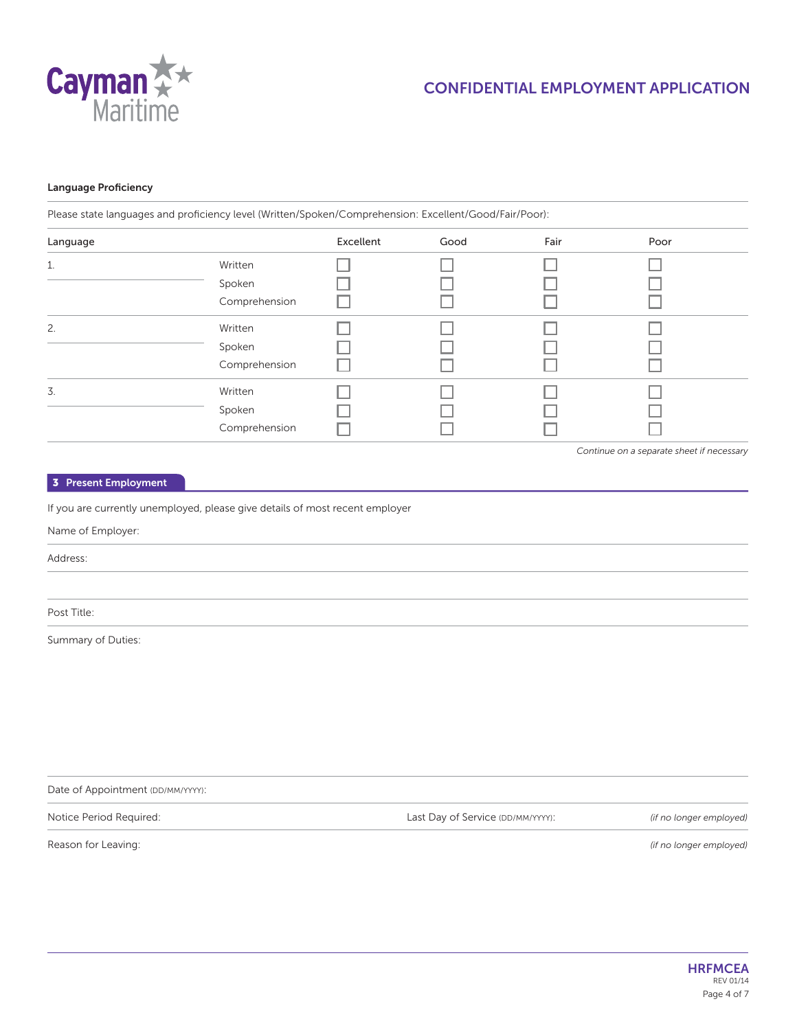

## **Language Proficiency**

Please state languages and proficiency level (Written/Spoken/Comprehension: Excellent/Good/Fair/Poor):

| Language |               | Excellent | Good | Fair | Poor |
|----------|---------------|-----------|------|------|------|
| 1.       | Written       |           |      |      |      |
|          | Spoken        |           |      |      |      |
|          | Comprehension |           |      |      |      |
| 2.       | Written       |           |      |      |      |
|          | Spoken        |           |      |      |      |
|          | Comprehension |           |      |      |      |
| 3.       | Written       |           |      |      |      |
|          | Spoken        |           |      |      |      |
|          | Comprehension |           |      |      |      |

*Continue on a separate sheet if necessary*

#### **3 Present Employment**

If you are currently unemployed, please give details of most recent employer

#### Name of Employer:

Address:

Post Title:

Summary of Duties:

Date of Appointment (DD/MM/YYYY):

Notice Period Required:

Last Day of Service (DD/MM/YYYY): *(if no longer employed)*

Reason for Leaving:

*(if no longer employed)*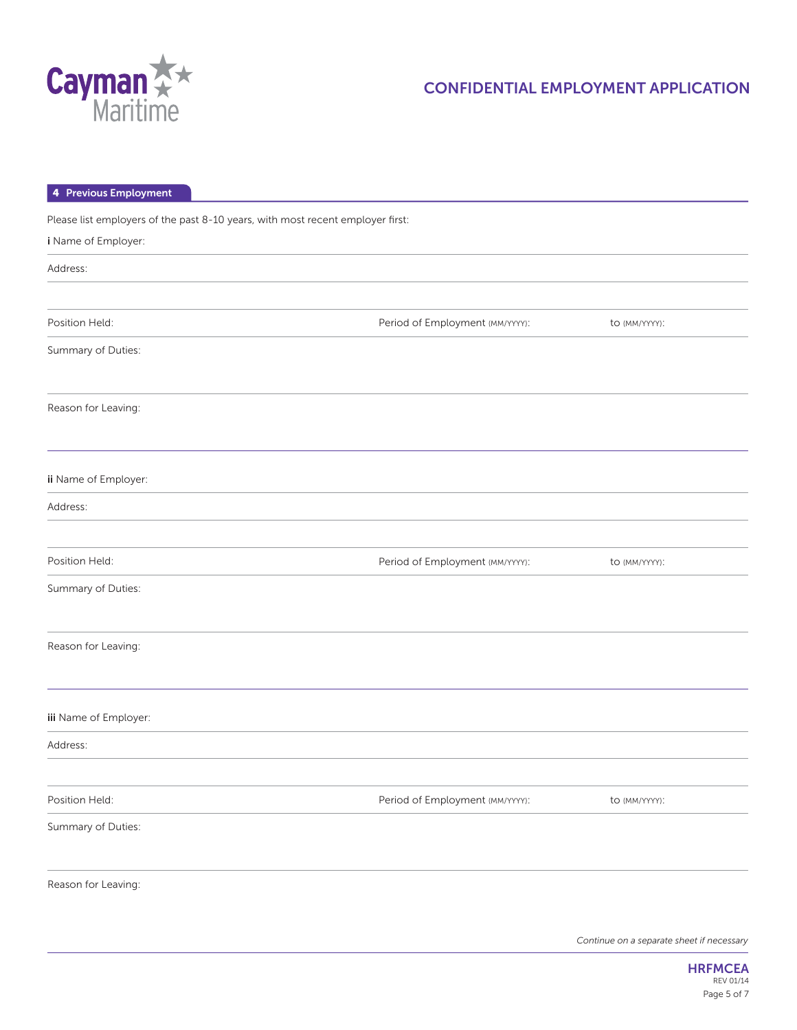

| 4 Previous Employment                                                          |                                 |               |
|--------------------------------------------------------------------------------|---------------------------------|---------------|
| Please list employers of the past 8-10 years, with most recent employer first: |                                 |               |
| i Name of Employer:                                                            |                                 |               |
| Address:                                                                       |                                 |               |
|                                                                                |                                 |               |
| Position Held:                                                                 | Period of Employment (MM/YYYY): | to (MM/YYYY): |
| Summary of Duties:                                                             |                                 |               |
| Reason for Leaving:                                                            |                                 |               |
| ii Name of Employer:                                                           |                                 |               |
| Address:                                                                       |                                 |               |
|                                                                                |                                 |               |
| Position Held:                                                                 | Period of Employment (MM/YYYY): | to (MM/YYYY): |
| Summary of Duties:                                                             |                                 |               |
| Reason for Leaving:                                                            |                                 |               |
| iii Name of Employer:                                                          |                                 |               |
| Address:                                                                       |                                 |               |
|                                                                                |                                 |               |
| Position Held:                                                                 | Period of Employment (MM/YYYY): | to (MM/YYYY): |
| Summary of Duties:                                                             |                                 |               |
| Reason for Leaving:                                                            |                                 |               |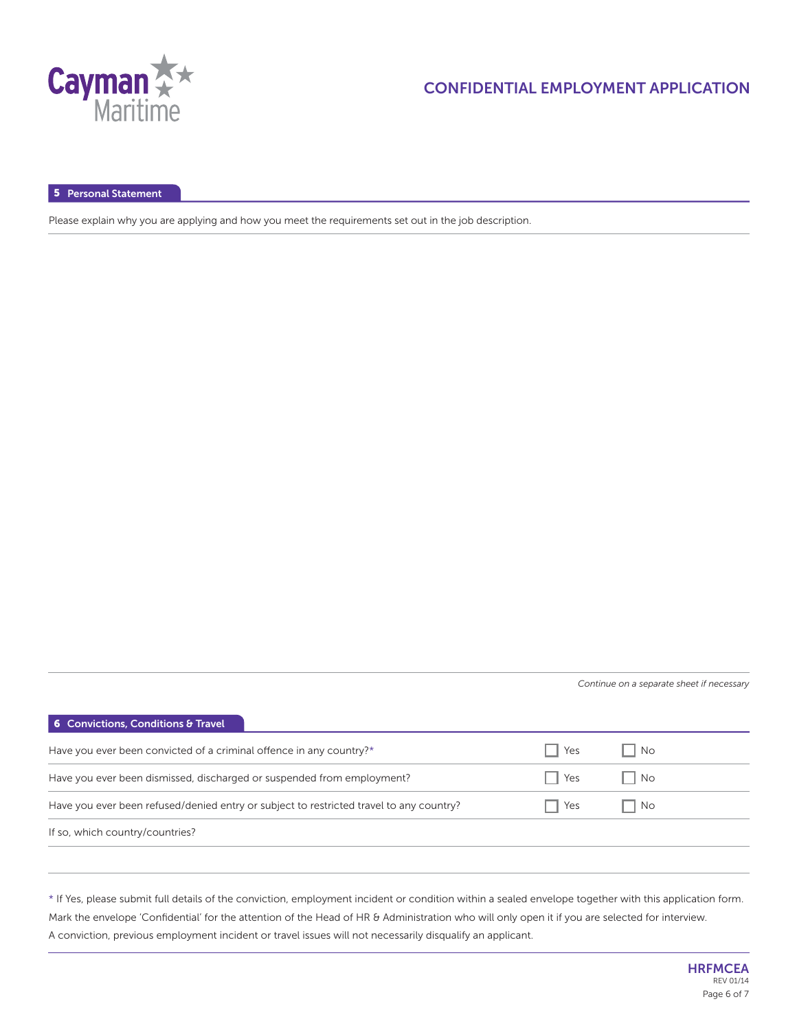

**5 Personal Statement**

Please explain why you are applying and how you meet the requirements set out in the job description.

*Continue on a separate sheet if necessary*

| <b>6</b> Convictions, Conditions & Travel                                               |     |    |
|-----------------------------------------------------------------------------------------|-----|----|
| Have you ever been convicted of a criminal offence in any country?*                     | Yes | No |
| Have you ever been dismissed, discharged or suspended from employment?                  | Yes | No |
| Have you ever been refused/denied entry or subject to restricted travel to any country? | Yes | No |
| If so, which country/countries?                                                         |     |    |

\* If Yes, please submit full details of the conviction, employment incident or condition within a sealed envelope together with this application form. Mark the envelope 'Confidential' for the attention of the Head of HR & Administration who will only open it if you are selected for interview. A conviction, previous employment incident or travel issues will not necessarily disqualify an applicant.